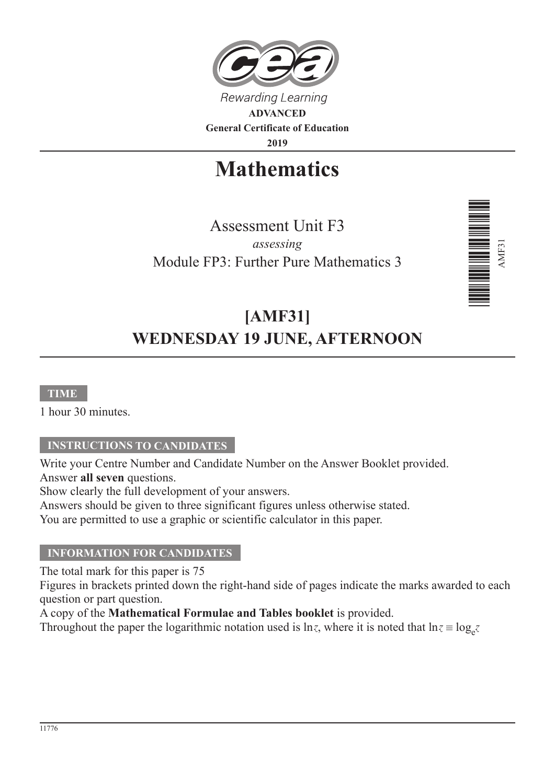

**General Certificate of Education**

**2019**

# **Mathematics**

Assessment Unit F3 *assessing* Module FP3: Further Pure Mathematics 3



## **[AMF31] WEDNESDAY 19 JUNE, AFTERNOON**

#### **TIME**

1 hour 30 minutes.

#### **INSTRUCTIONS TO CANDIDATES**

Write your Centre Number and Candidate Number on the Answer Booklet provided. Answer **all seven** questions.

Show clearly the full development of your answers.

Answers should be given to three significant figures unless otherwise stated.

You are permitted to use a graphic or scientific calculator in this paper.

#### **INFORMATION FOR CANDIDATES**

The total mark for this paper is 75

Figures in brackets printed down the right-hand side of pages indicate the marks awarded to each question or part question.

A copy of the **Mathematical Formulae and Tables booklet** is provided.

Throughout the paper the logarithmic notation used is  $\ln z$ , where it is noted that  $\ln z \equiv \log_e z$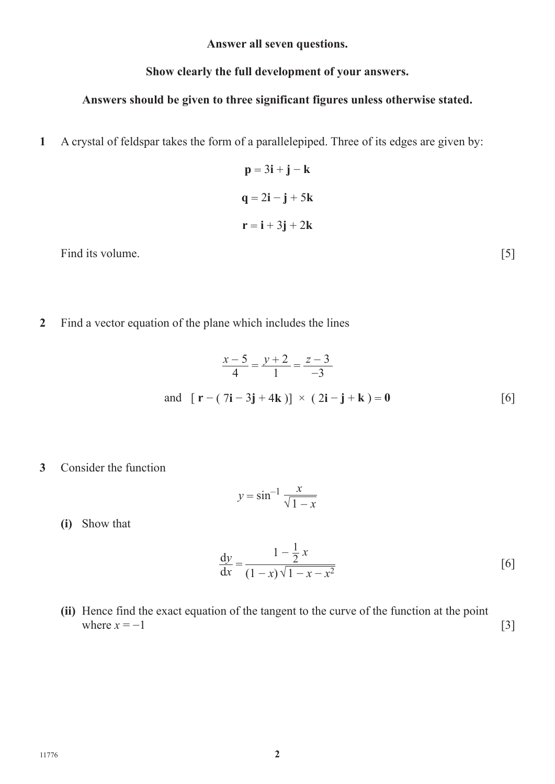**Answer all seven questions.**

#### **Show clearly the full development of your answers.**

### **Answers should be given to three significant figures unless otherwise stated.**

- **1** A crystal of feldspar takes the form of a parallelepiped. Three of its edges are given by:
	- $p = 3i + j k$  $q = 2i - j + 5k$  $\mathbf{r} = \mathbf{i} + 3\mathbf{j} + 2\mathbf{k}$

Find its volume. [5]

**2** Find a vector equation of the plane which includes the lines

$$
\frac{x-5}{4} = \frac{y+2}{1} = \frac{z-3}{-3}
$$
  
and  $[\mathbf{r} - (7\mathbf{i} - 3\mathbf{j} + 4\mathbf{k})] \times (2\mathbf{i} - \mathbf{j} + \mathbf{k}) = 0$  [6]

**3** Consider the function

$$
y = \sin^{-1} \frac{x}{\sqrt{1 - x}}
$$

**(i)** Show that

$$
\frac{dy}{dx} = \frac{1 - \frac{1}{2}x}{(1 - x)\sqrt{1 - x - x^2}}
$$
 [6]

**(ii)** Hence find the exact equation of the tangent to the curve of the function at the point where  $x = -1$  [3]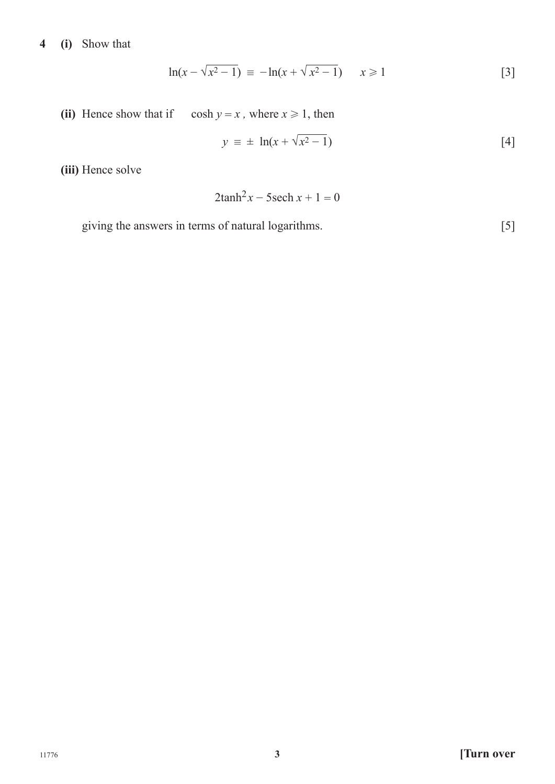### **4 (i)** Show that

$$
\ln(x - \sqrt{x^2 - 1}) \equiv -\ln(x + \sqrt{x^2 - 1}) \qquad x \ge 1
$$
 [3]

(ii) Hence show that if cosh  $y = x$ , where  $x \ge 1$ , then

$$
y \equiv \pm \ln(x + \sqrt{x^2 - 1}) \tag{4}
$$

**(iii)** Hence solve

$$
2\tanh^2 x - 5\operatorname{sech} x + 1 = 0
$$

giving the answers in terms of natural logarithms. [5]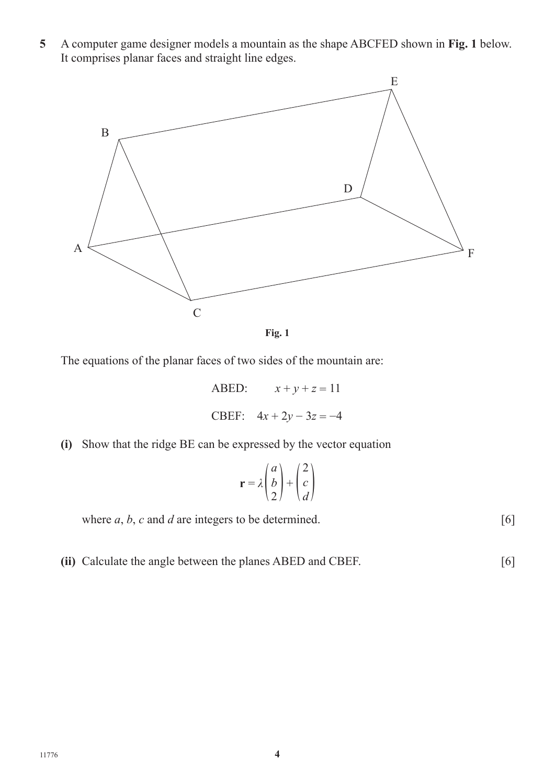**5** A computer game designer models a mountain as the shape ABCFED shown in **Fig. 1** below. It comprises planar faces and straight line edges.



**Fig. 1**

The equations of the planar faces of two sides of the mountain are:

- ABED:  $x + y + z = 11$ CBEF:  $4x + 2y - 3z = -4$
- **(i)** Show that the ridge BE can be expressed by the vector equation

$$
\mathbf{r} = \lambda \begin{pmatrix} a \\ b \\ 2 \end{pmatrix} + \begin{pmatrix} 2 \\ c \\ d \end{pmatrix}
$$

where  $a, b, c$  and  $d$  are integers to be determined.  $[6]$ 

**(ii)** Calculate the angle between the planes ABED and CBEF. [6]

11776 **4**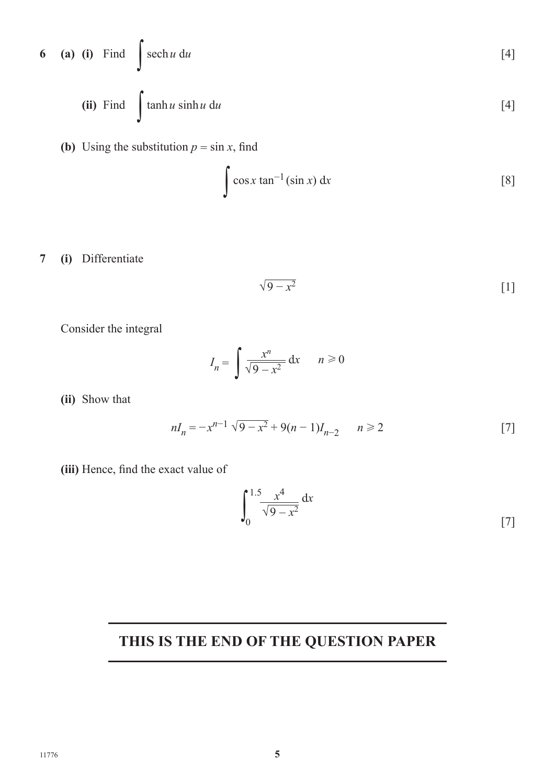6 (a) (i) Find 
$$
\int \operatorname{sech} u \, du
$$
 [4]  
(ii) Find  $\int \tanh u \sinh u \, du$  [4]

**(b)** Using the substitution  $p = \sin x$ , find

$$
\int \cos x \tan^{-1}(\sin x) \, \mathrm{d}x \tag{8}
$$

**7 (i)** Differentiate

$$
\sqrt{9-x^2} \tag{1}
$$

Consider the integral

$$
I_n = \int \frac{x^n}{\sqrt{9 - x^2}} dx \qquad n \ge 0
$$

**(ii)** Show that

$$
nI_n = -x^{n-1} \sqrt{9 - x^2} + 9(n - 1)I_{n-2} \qquad n \ge 2
$$
 [7]

**(iii)** Hence, find the exact value of

$$
\int_0^{1.5} \frac{x^4}{\sqrt{9 - x^2}} \, \mathrm{d}x \tag{7}
$$

### **THIS IS THE END OF THE QUESTION PAPER**